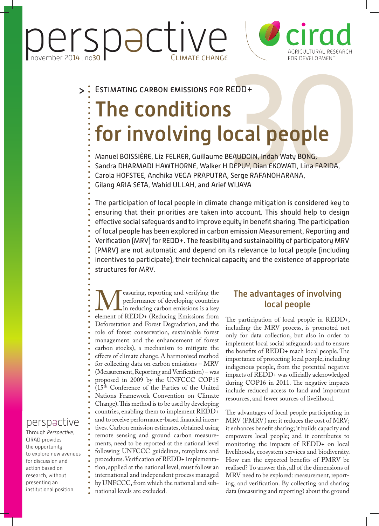Perspactive



#### Estimating carbon emissions for REDD+  $\geq$

# EDD+<br> **Cal people**<br>
EAUDOIN, Indah Waty BONG,<br>
DEPUY, Dian EKOWATI, Lina FARIDA,<br>
Serge RAFANOHARANA,<br>
Serge RAFANOHARANA, The conditions for involving local people

Manuel BOISSIÈRE, Liz FELKER, Guillaume BEAUDOIN, Indah Waty BONG, Sandra DHARMADI HAWTHORNE, Walker H DEPUY, Dian EKOWATI, Lina FARIDA, Carola HOFSTEE, Andhika VEGA PRAPUTRA, Serge RAFANOHARANA, Gilang ARIA SETA, Wahid ULLAH, and Arief WIJAYA

The participation of local people in climate change mitigation is considered key to ensuring that their priorities are taken into account. This should help to design effective social safeguards and to improve equity in benefit sharing. The participation of local people has been explored in carbon emission Measurement, Reporting and Verification (MRV) for REDD+. The feasibility and sustainability of participatory MRV (PMRV) are not automatic and depend on its relevance to local people (including incentives to participate), their technical capacity and the existence of appropriate structures for MRV.

**Example 18 According** the performance of developing countries in reducing carbon emissions is a key element of REDD+ (Reducing Emissions from performance of developing countries Lin reducing carbon emissions is a key Deforestation and Forest Degradation, and the role of forest conservation, sustainable forest management and the enhancement of forest carbon stocks), a mechanism to mitigate the effects of climate change. A harmonised method for collecting data on carbon emissions – MRV (Measurement, Reporting and Verification) – was proposed in 2009 by the UNFCCC COP15 (15th Conference of the Parties of the United Nations Framework Convention on Climate Change). This method is to be used by developing countries, enabling them to implement REDD+ and to receive performance-based financial incentives. Carbon emission estimates, obtained using remote sensing and ground carbon measurements, need to be reported at the national level following UNFCCC guidelines, templates and procedures. Verification of REDD+ implementation, applied at the national level, must follow an international and independent process managed by UNFCCC, from which the national and subnational levels are excluded.

# The advantages of involving local people

The participation of local people in REDD+, including the MRV process, is promoted not only for data collection, but also in order to implement local social safeguards and to ensure the benefits of REDD+ reach local people. The importance of protecting local people, including indigenous people, from the potential negative impacts of REDD+ was officially acknowledged during COP16 in 2011. The negative impacts include reduced access to land and important resources, and fewer sources of livelihood.

The advantages of local people participating in MRV (PMRV) are: it reduces the cost of MRV; it enhances benefit sharing; it builds capacity and empowers local people; and it contributes to monitoring the impacts of REDD+ on local livelihoods, ecosystem services and biodiversity. How can the expected benefits of PMRV be realised? To answer this, all of the dimensions of MRV need to be explored: measurement, reporting, and verification. By collecting and sharing data (measuring and reporting) about the ground

# perspactive

Through *Perspective,*  CIRAD provides the opportunity to explore new avenues for discussion and action based on research, without presenting an institutional position.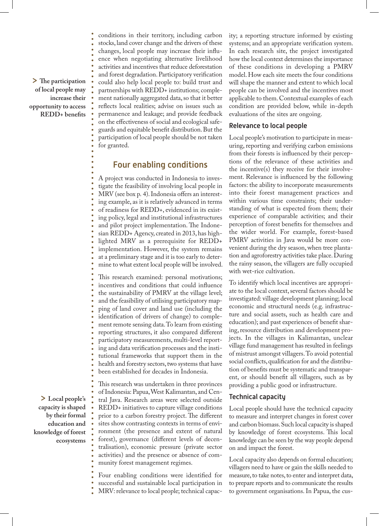> **The participation of local people may increase their opportunity to access REDD+ benefits**

conditions in their territory, including carbon stocks, land cover change and the drivers of these changes, local people may increase their influence when negotiating alternative livelihood activities and incentives that reduce deforestation and forest degradation. Participatory verification could also help local people to: build trust and partnerships with REDD+ institutions; complement nationally aggregated data, so that it better reflects local realities; advise on issues such as permanence and leakage; and provide feedback on the effectiveness of social and ecological safeguards and equitable benefit distribution. But the participation of local people should be not taken for granted.

## Four enabling conditions

A project was conducted in Indonesia to investigate the feasibility of involving local people in MRV (see box p. 4). Indonesia offers an interesting example, as it is relatively advanced in terms of readiness for REDD+, evidenced in its existing policy, legal and institutional infrastructures and pilot project implementation. The Indonesian REDD+ Agency, created in 2013, has highlighted MRV as a prerequisite for REDD+ implementation. However, the system remains at a preliminary stage and it is too early to determine to what extent local people will be involved.

This research examined: personal motivations; incentives and conditions that could influence the sustainability of PMRV at the village level; and the feasibility of utilising participatory mapping of land cover and land use (including the identification of drivers of change) to complement remote sensing data. To learn from existing reporting structures, it also compared different participatory measurements, multi-level reporting and data verification processes and the institutional frameworks that support them in the health and forestry sectors, two systems that have been established for decades in Indonesia.

> **Local people's capacity is shaped by their formal education and knowledge of forest ecosystems**

This research was undertaken in three provinces of Indonesia: Papua, West Kalimantan, and Central Java. Research areas were selected outside REDD+ initiatives to capture village conditions prior to a carbon forestry project. The different sites show contrasting contexts in terms of environment (the presence and extent of natural forest), governance (different levels of decentralisation), economic pressure (private sector activities) and the presence or absence of community forest management regimes.

Four enabling conditions were identified for successful and sustainable local participation in MRV: relevance to local people; technical capacity; a reporting structure informed by existing systems; and an appropriate verification system. In each research site, the project investigated how the local context determines the importance of these conditions in developing a PMRV model. How each site meets the four conditions will shape the manner and extent to which local people can be involved and the incentives most applicable to them. Contextual examples of each condition are provided below, while in-depth evaluations of the sites are ongoing.

#### Relevance to local people

Local people's motivation to participate in measuring, reporting and verifying carbon emissions from their forests is influenced by their perceptions of the relevance of these activities and the incentive(s) they receive for their involvement. Relevance is influenced by the following factors: the ability to incorporate measurements into their forest management practices and within various time constraints; their understanding of what is expected from them; their experience of comparable activities; and their perception of forest benefits for themselves and the wider world. For example, forest-based PMRV activities in Java would be more convenient during the dry season, when tree plantation and agroforestry activities take place. During the rainy season, the villagers are fully occupied with wet-rice cultivation.

To identify which local incentives are appropriate to the local context, several factors should be investigated: village development planning; local economic and structural needs (e.g. infrastructure and social assets, such as health care and education); and past experiences of benefit sharing, resource distribution and development projects. In the villages in Kalimantan, unclear village fund management has resulted in feelings of mistrust amongst villagers. To avoid potential social conflicts, qualification for and the distribution of benefits must be systematic and transparent, or should benefit all villagers, such as by providing a public good or infrastructure.

### Technical capacity

Local people should have the technical capacity to measure and interpret changes in forest cover and carbon biomass. Such local capacity is shaped by knowledge of forest ecosystems. This local knowledge can be seen by the way people depend on and impact the forest.

Local capacity also depends on formal education; villagers need to have or gain the skills needed to measure, to take notes, to enter and interpret data, to prepare reports and to communicate the results to government organisations. In Papua, the cus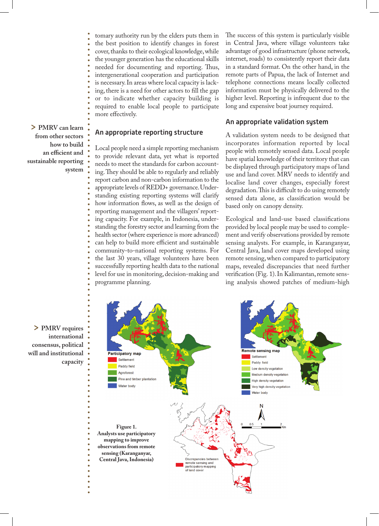tomary authority run by the elders puts them in the best position to identify changes in forest cover, thanks to their ecological knowledge, while the younger generation has the educational skills needed for documenting and reporting. Thus, intergenerational cooperation and participation is necessary. In areas where local capacity is lacking, there is a need for other actors to fill the gap or to indicate whether capacity building is required to enable local people to participate more effectively.

#### An appropriate reporting structure

Local people need a simple reporting mechanism to provide relevant data, yet what is reported needs to meet the standards for carbon accounting. They should be able to regularly and reliably report carbon and non-carbon information to the appropriate levels of REDD+ governance. Understanding existing reporting systems will clarify how information flows, as well as the design of reporting management and the villagers' reporting capacity. For example, in Indonesia, understanding the forestry sector and learning from the health sector (where experience is more advanced) can help to build more efficient and sustainable community-to-national reporting systems. For the last 30 years, village volunteers have been successfully reporting health data to the national level for use in monitoring, decision-making and programme planning.

The success of this system is particularly visible in Central Java, where village volunteers take advantage of good infrastructure (phone network, internet, roads) to consistently report their data in a standard format. On the other hand, in the remote parts of Papua, the lack of Internet and telephone connections means locally collected information must be physically delivered to the higher level. Reporting is infrequent due to the long and expensive boat journey required.

#### An appropriate validation system

A validation system needs to be designed that incorporates information reported by local people with remotely sensed data. Local people have spatial knowledge of their territory that can be displayed through participatory maps of land use and land cover. MRV needs to identify and localise land cover changes, especially forest degradation. This is difficult to do using remotely sensed data alone, as classification would be based only on canopy density.

Ecological and land-use based classifications provided by local people may be used to complement and verify observations provided by remote sensing analysts. For example, in Karanganyar, Central Java, land cover maps developed using remote sensing, when compared to participatory maps, revealed discrepancies that need further verification (Fig. 1). In Kalimantan, remote sensing analysis showed patches of medium-high



> **PMRV can learn from other sectors how to build an efficient and** 

**sustainable reporting** 

**system**